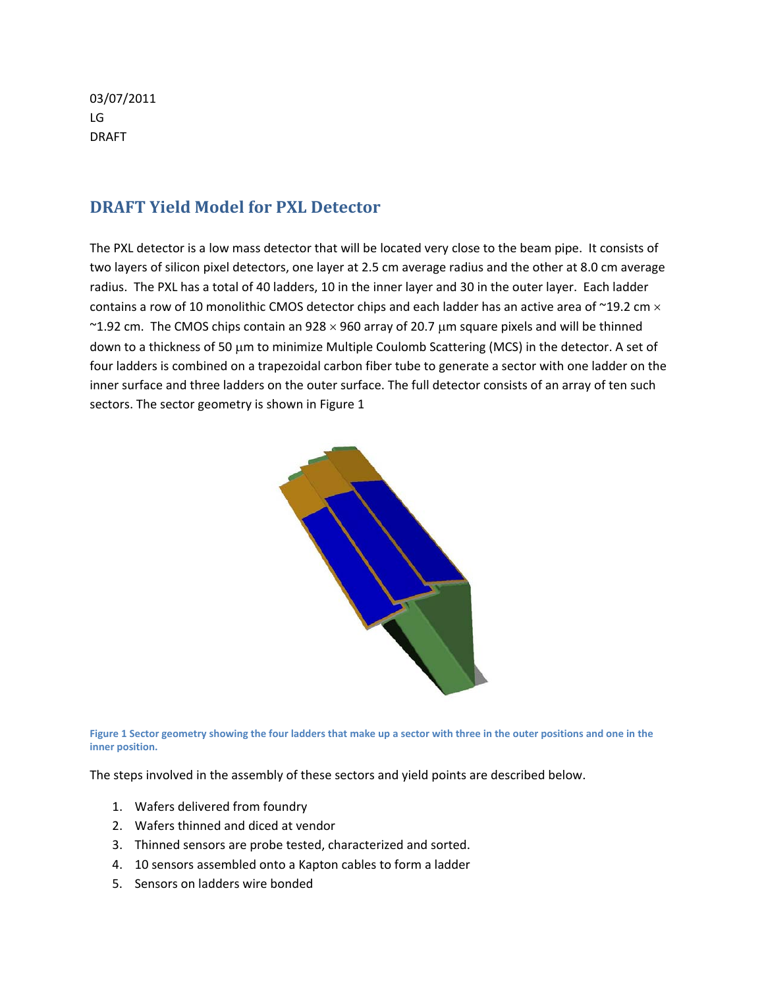03/07/2011 LG DRAFT

## **DRAFT Yield Model for PXL Detector**

The PXL detector is a low mass detector that will be located very close to the beam pipe. It consists of two layers of silicon pixel detectors, one layer at 2.5 cm average radius and the other at 8.0 cm average radius. The PXL has a total of 40 ladders, 10 in the inner layer and 30 in the outer layer. Each ladder contains a row of 10 monolithic CMOS detector chips and each ladder has an active area of  $\sim$ 19.2 cm  $\times$ ~1.92 cm. The CMOS chips contain an  $928 \times 960$  array of 20.7 µm square pixels and will be thinned down to a thickness of 50 μm to minimize Multiple Coulomb Scattering (MCS) in the detector. A set of four ladders is combined on a trapezoidal carbon fiber tube to generate a sector with one ladder on the inner surface and three ladders on the outer surface. The full detector consists of an array of ten such sectors. The sector geometry is shown in Figure 1



Figure 1 Sector geometry showing the four ladders that make up a sector with three in the outer positions and one in the **inner position.**

The steps involved in the assembly of these sectors and yield points are described below.

- 1. Wafers delivered from foundry
- 2. Wafers thinned and diced at vendor
- 3. Thinned sensors are probe tested, characterized and sorted.
- 4. 10 sensors assembled onto a Kapton cables to form a ladder
- 5. Sensors on ladders wire bonded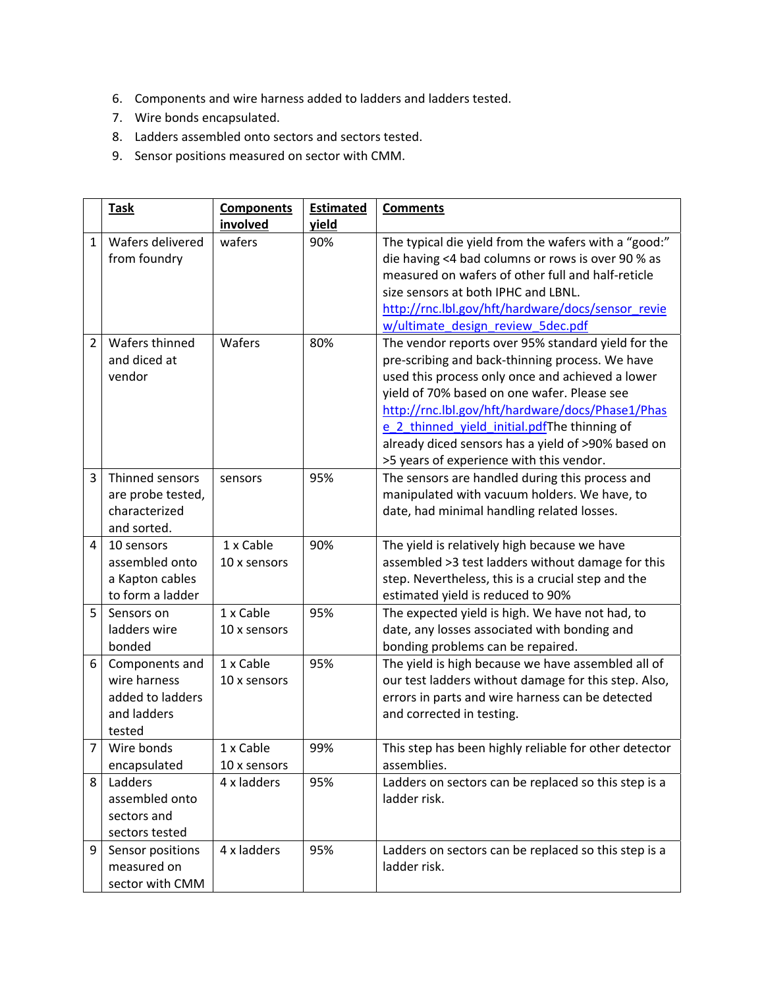- 6. Components and wire harness added to ladders and ladders tested.
- 7. Wire bonds encapsulated.
- 8. Ladders assembled onto sectors and sectors tested.
- 9. Sensor positions measured on sector with CMM.

|                | <b>Task</b>                                                                 | <b>Components</b><br>involved | <b>Estimated</b><br>yield | <b>Comments</b>                                                                                                                                                                                                                                                                                                                                                                                                |
|----------------|-----------------------------------------------------------------------------|-------------------------------|---------------------------|----------------------------------------------------------------------------------------------------------------------------------------------------------------------------------------------------------------------------------------------------------------------------------------------------------------------------------------------------------------------------------------------------------------|
| $\mathbf{1}$   | Wafers delivered<br>from foundry                                            | wafers                        | 90%                       | The typical die yield from the wafers with a "good:"<br>die having <4 bad columns or rows is over 90 % as<br>measured on wafers of other full and half-reticle<br>size sensors at both IPHC and LBNL.<br>http://rnc.lbl.gov/hft/hardware/docs/sensor revie<br>w/ultimate design review 5dec.pdf                                                                                                                |
| $\overline{2}$ | Wafers thinned<br>and diced at<br>vendor                                    | Wafers                        | 80%                       | The vendor reports over 95% standard yield for the<br>pre-scribing and back-thinning process. We have<br>used this process only once and achieved a lower<br>yield of 70% based on one wafer. Please see<br>http://rnc.lbl.gov/hft/hardware/docs/Phase1/Phas<br>e 2 thinned yield initial.pdfThe thinning of<br>already diced sensors has a yield of >90% based on<br>>5 years of experience with this vendor. |
| 3              | Thinned sensors<br>are probe tested,<br>characterized<br>and sorted.        | sensors                       | 95%                       | The sensors are handled during this process and<br>manipulated with vacuum holders. We have, to<br>date, had minimal handling related losses.                                                                                                                                                                                                                                                                  |
| 4              | 10 sensors<br>assembled onto<br>a Kapton cables<br>to form a ladder         | 1 x Cable<br>10 x sensors     | 90%                       | The yield is relatively high because we have<br>assembled >3 test ladders without damage for this<br>step. Nevertheless, this is a crucial step and the<br>estimated yield is reduced to 90%                                                                                                                                                                                                                   |
| 5              | Sensors on<br>ladders wire<br>bonded                                        | 1 x Cable<br>10 x sensors     | 95%                       | The expected yield is high. We have not had, to<br>date, any losses associated with bonding and<br>bonding problems can be repaired.                                                                                                                                                                                                                                                                           |
| 6              | Components and<br>wire harness<br>added to ladders<br>and ladders<br>tested | 1 x Cable<br>10 x sensors     | 95%                       | The yield is high because we have assembled all of<br>our test ladders without damage for this step. Also,<br>errors in parts and wire harness can be detected<br>and corrected in testing.                                                                                                                                                                                                                    |
| $\overline{7}$ | Wire bonds<br>encapsulated                                                  | 1 x Cable<br>10 x sensors     | 99%                       | This step has been highly reliable for other detector<br>assemblies.                                                                                                                                                                                                                                                                                                                                           |
| 8              | Ladders<br>assembled onto<br>sectors and<br>sectors tested                  | 4 x ladders                   | 95%                       | Ladders on sectors can be replaced so this step is a<br>ladder risk.                                                                                                                                                                                                                                                                                                                                           |
| 9              | Sensor positions<br>measured on<br>sector with CMM                          | 4 x ladders                   | 95%                       | Ladders on sectors can be replaced so this step is a<br>ladder risk.                                                                                                                                                                                                                                                                                                                                           |